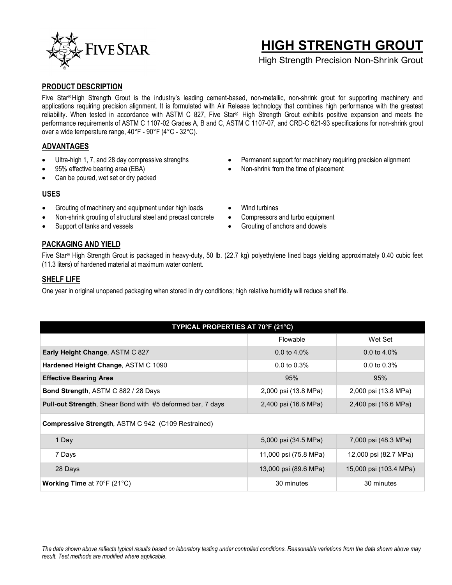

# **HIGH STRENGTH GROUT**

High Strength Precision Non-Shrink Grout

## **PRODUCT DESCRIPTION**

Five Star® High Strength Grout is the industry's leading cement-based, non-metallic, non-shrink grout for supporting machinery and applications requiring precision alignment. It is formulated with Air Release technology that combines high performance with the greatest reliability. When tested in accordance with ASTM C 827, Five Star® High Strength Grout exhibits positive expansion and meets the performance requirements of ASTM C 1107-02 Grades A, B and C, ASTM C 1107-07, and CRD-C 621-93 specifications for non-shrink grout over a wide temperature range, 40°F - 90°F (4°C - 32°C).

## **ADVANTAGES**

- Ultra-high 1, 7, and 28 day compressive strengths
- 95% effective bearing area (EBA)
- Can be poured, wet set or dry packed

## **USES**

- Grouting of machinery and equipment under high loads
- Non-shrink grouting of structural steel and precast concrete
- Support of tanks and vessels

# **PACKAGING AND YIELD**

Five Star® High Strength Grout is packaged in heavy-duty, 50 lb. (22.7 kg) polyethylene lined bags yielding approximately 0.40 cubic feet (11.3 liters) of hardened material at maximum water content.

## **SHELF LIFE**

One year in original unopened packaging when stored in dry conditions; high relative humidity will reduce shelf life.

| TYPICAL PROPERTIES AT 70°F (21°C)                                 |                         |                         |  |
|-------------------------------------------------------------------|-------------------------|-------------------------|--|
|                                                                   | Flowable                | Wet Set                 |  |
| Early Height Change, ASTM C 827                                   | 0.0 to $4.0\%$          | 0.0 to $4.0\%$          |  |
| Hardened Height Change, ASTM C 1090                               | $0.0 \text{ to } 0.3\%$ | $0.0 \text{ to } 0.3\%$ |  |
| <b>Effective Bearing Area</b>                                     | 95%                     | 95%                     |  |
| <b>Bond Strength, ASTM C 882 / 28 Days</b>                        | 2,000 psi (13.8 MPa)    | 2,000 psi (13.8 MPa)    |  |
| <b>Pull-out Strength, Shear Bond with #5 deformed bar, 7 days</b> | 2,400 psi (16.6 MPa)    | 2,400 psi (16.6 MPa)    |  |
| <b>Compressive Strength, ASTM C 942 (C109 Restrained)</b>         |                         |                         |  |
| 1 Day                                                             | 5,000 psi (34.5 MPa)    | 7,000 psi (48.3 MPa)    |  |
| 7 Days                                                            | 11,000 psi (75.8 MPa)   | 12,000 psi (82.7 MPa)   |  |
| 28 Days                                                           | 13,000 psi (89.6 MPa)   | 15,000 psi (103.4 MPa)  |  |
| <b>Working Time at 70°F (21°C)</b>                                | 30 minutes              | 30 minutes              |  |

- Permanent support for machinery requiring precision alignment
- Non-shrink from the time of placement
- Wind turbines
- Compressors and turbo equipment
- Grouting of anchors and dowels